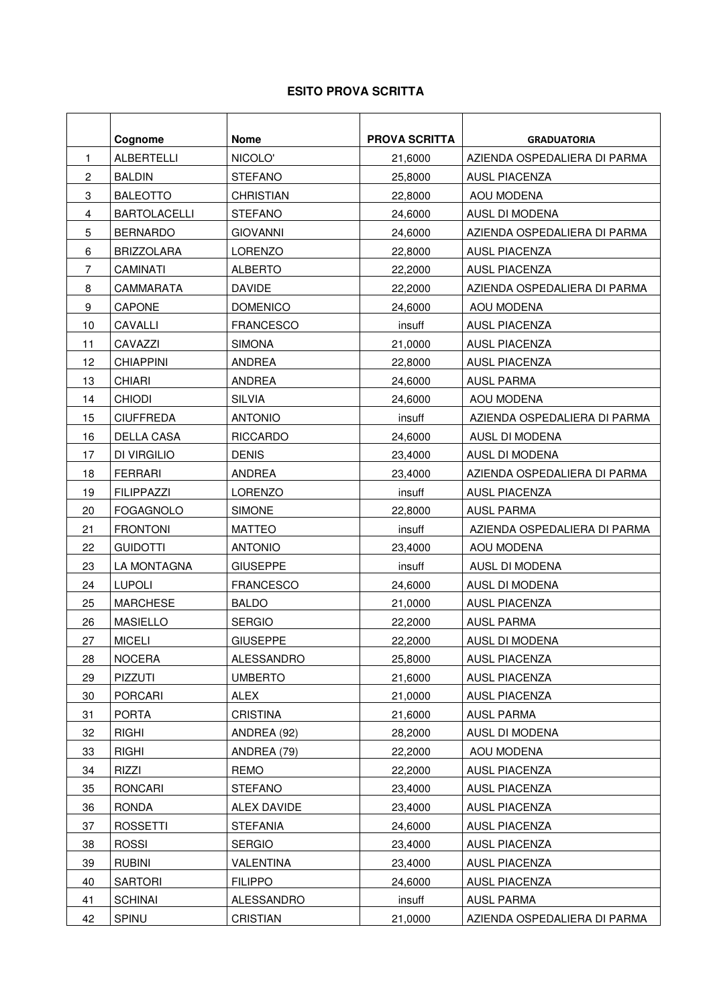## **ESITO PROVA SCRITTA**

|                | Cognome             | <b>Nome</b>      | <b>PROVA SCRITTA</b> | <b>GRADUATORIA</b>           |
|----------------|---------------------|------------------|----------------------|------------------------------|
| 1              | <b>ALBERTELLI</b>   | NICOLO'          | 21,6000              | AZIENDA OSPEDALIERA DI PARMA |
| $\overline{c}$ | <b>BALDIN</b>       | <b>STEFANO</b>   | 25,8000              | <b>AUSL PIACENZA</b>         |
| 3              | <b>BALEOTTO</b>     | <b>CHRISTIAN</b> | 22,8000              | AOU MODENA                   |
| 4              | <b>BARTOLACELLI</b> | <b>STEFANO</b>   | 24,6000              | AUSL DI MODENA               |
| 5              | <b>BERNARDO</b>     | <b>GIOVANNI</b>  | 24,6000              | AZIENDA OSPEDALIERA DI PARMA |
| 6              | <b>BRIZZOLARA</b>   | <b>LORENZO</b>   | 22,8000              | <b>AUSL PIACENZA</b>         |
| 7              | <b>CAMINATI</b>     | <b>ALBERTO</b>   | 22,2000              | AUSL PIACENZA                |
| 8              | <b>CAMMARATA</b>    | <b>DAVIDE</b>    | 22,2000              | AZIENDA OSPEDALIERA DI PARMA |
| 9              | <b>CAPONE</b>       | <b>DOMENICO</b>  | 24,6000              | AOU MODENA                   |
| 10             | CAVALLI             | <b>FRANCESCO</b> | insuff               | <b>AUSL PIACENZA</b>         |
| 11             | CAVAZZI             | <b>SIMONA</b>    | 21,0000              | <b>AUSL PIACENZA</b>         |
| 12             | <b>CHIAPPINI</b>    | ANDREA           | 22,8000              | <b>AUSL PIACENZA</b>         |
| 13             | <b>CHIARI</b>       | ANDREA           | 24,6000              | <b>AUSL PARMA</b>            |
| 14             | <b>CHIODI</b>       | <b>SILVIA</b>    | 24,6000              | AOU MODENA                   |
| 15             | <b>CIUFFREDA</b>    | <b>ANTONIO</b>   | insuff               | AZIENDA OSPEDALIERA DI PARMA |
| 16             | <b>DELLA CASA</b>   | <b>RICCARDO</b>  | 24,6000              | AUSL DI MODENA               |
| 17             | DI VIRGILIO         | <b>DENIS</b>     | 23,4000              | AUSL DI MODENA               |
| 18             | <b>FERRARI</b>      | ANDREA           | 23,4000              | AZIENDA OSPEDALIERA DI PARMA |
| 19             | <b>FILIPPAZZI</b>   | LORENZO          | insuff               | <b>AUSL PIACENZA</b>         |
| 20             | <b>FOGAGNOLO</b>    | <b>SIMONE</b>    | 22,8000              | <b>AUSL PARMA</b>            |
| 21             | <b>FRONTONI</b>     | <b>MATTEO</b>    | insuff               | AZIENDA OSPEDALIERA DI PARMA |
| 22             | <b>GUIDOTTI</b>     | <b>ANTONIO</b>   | 23,4000              | AOU MODENA                   |
| 23             | LA MONTAGNA         | <b>GIUSEPPE</b>  | insuff               | AUSL DI MODENA               |
| 24             | <b>LUPOLI</b>       | <b>FRANCESCO</b> | 24,6000              | AUSL DI MODENA               |
| 25             | <b>MARCHESE</b>     | <b>BALDO</b>     | 21,0000              | <b>AUSL PIACENZA</b>         |
| 26             | <b>MASIELLO</b>     | <b>SERGIO</b>    | 22,2000              | <b>AUSL PARMA</b>            |
| 27             | <b>MICELI</b>       | <b>GIUSEPPE</b>  | 22,2000              | AUSL DI MODENA               |
| 28             | <b>NOCERA</b>       | ALESSANDRO       | 25,8000              | AUSL PIACENZA                |
| 29             | PIZZUTI             | <b>UMBERTO</b>   | 21,6000              | <b>AUSL PIACENZA</b>         |
| 30             | PORCARI             | <b>ALEX</b>      | 21,0000              | <b>AUSL PIACENZA</b>         |
| 31             | <b>PORTA</b>        | <b>CRISTINA</b>  | 21,6000              | <b>AUSL PARMA</b>            |
| 32             | <b>RIGHI</b>        | ANDREA (92)      | 28,2000              | AUSL DI MODENA               |
| 33             | <b>RIGHI</b>        | ANDREA (79)      | 22,2000              | AOU MODENA                   |
| 34             | <b>RIZZI</b>        | <b>REMO</b>      | 22,2000              | <b>AUSL PIACENZA</b>         |
| 35             | RONCARI             | <b>STEFANO</b>   | 23,4000              | <b>AUSL PIACENZA</b>         |
| 36             | RONDA               | ALEX DAVIDE      | 23,4000              | AUSL PIACENZA                |
| 37             | <b>ROSSETTI</b>     | <b>STEFANIA</b>  | 24,6000              | <b>AUSL PIACENZA</b>         |
| 38             | <b>ROSSI</b>        | <b>SERGIO</b>    | 23,4000              | <b>AUSL PIACENZA</b>         |
| 39             | <b>RUBINI</b>       | VALENTINA        | 23,4000              | AUSL PIACENZA                |
| 40             | <b>SARTORI</b>      | <b>FILIPPO</b>   | 24,6000              | <b>AUSL PIACENZA</b>         |
| 41             | <b>SCHINAI</b>      | ALESSANDRO       | insuff               | <b>AUSL PARMA</b>            |
| 42             | SPINU               | <b>CRISTIAN</b>  | 21,0000              | AZIENDA OSPEDALIERA DI PARMA |